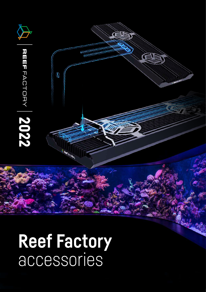

 $\overline{\psi}$ 

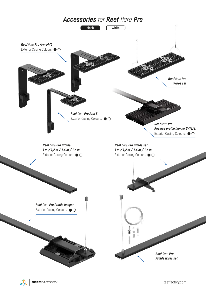

 $\mathcal{A}$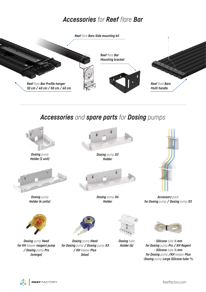### *Accessories for Reef flare Bar*



#### *Accessories and spare parts for Dosing pumps*



*Dosing pump Holder (1 unit)*



*Dosing pump Holder (4 units)*



*Dosing pump Head for KH keeper reagent pump / Dosing pump Pro (orange)*



*Holder*





*Accessory pack for Dosing pump / Dosing pump X3*





*Dosing pump Head for Dosing pump / Dosing pump X3 / KH keeper Plus (blue)*



*Dosing tube Holder (6)*



*- Silicone tube 1⁄3 mm for Dosing pump Pro / KH Regent - Silicone tube 2⁄5 mm for Dosing pump /KH keeper Plus -Dosing pump Large Silicone tube 10⁄12*

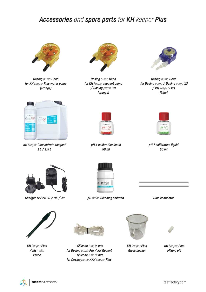### *Accessories and spare parts for KH keeper Plus*



*Dosing pump Head for KH keeper Plus water pump (orange)*



*KH keeper Concentrate reagent 1 L / 2,5 L*



*Dosing pump Head for KH keeper reagent pump / Dosing pump Pro (orange)*



*Dosing pump Head for Dosing pump / Dosing pump X3 / KH keeper Plus (blue)*



*pH 4 calibration liquid 50 ml*



*pH 7 calibration liquid 50 ml*



*Charger 12V 2A EU / UK / JP*



*pH probe Cleaning solution*





*KH keeper Plus / pH meter Probe*



*- Silicone tube 1⁄3 mm for Dosing pump Pro / KH Regent - Silicone tube 2⁄5 mm for Dosing pump /KH keeper Plus*



*KH keeper Plus Glass beaker*



*KH keeper Plus Mixing pill*